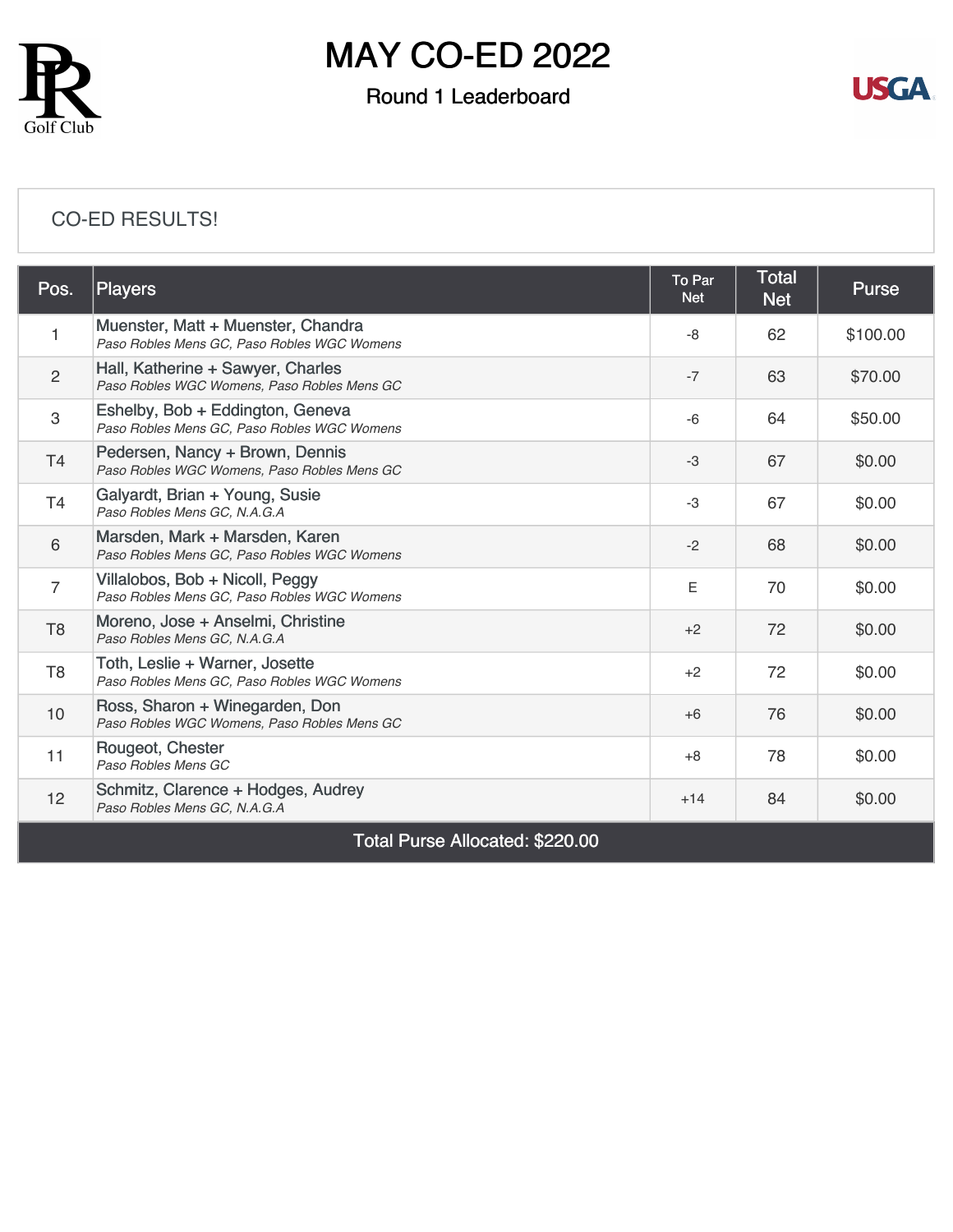

## MAY CO-ED 2022

### Round 1 Leaderboard



#### [CO-ED RESULTS!](https://static.golfgenius.com/v2tournaments/8491325414541671993?called_from=&round_index=1)

| Pos.                                   | Players                                                                           | To Par<br><b>Net</b> | <b>Total</b><br><b>Net</b> | <b>Purse</b> |  |  |
|----------------------------------------|-----------------------------------------------------------------------------------|----------------------|----------------------------|--------------|--|--|
| $\mathbf 1$                            | Muenster, Matt + Muenster, Chandra<br>Paso Robles Mens GC, Paso Robles WGC Womens | -8                   | 62                         | \$100.00     |  |  |
| $\overline{2}$                         | Hall, Katherine + Sawyer, Charles<br>Paso Robles WGC Womens, Paso Robles Mens GC  | $-7$                 | 63                         | \$70.00      |  |  |
| 3                                      | Eshelby, Bob + Eddington, Geneva<br>Paso Robles Mens GC, Paso Robles WGC Womens   | $-6$                 | 64                         | \$50.00      |  |  |
| T <sub>4</sub>                         | Pedersen, Nancy + Brown, Dennis<br>Paso Robles WGC Womens, Paso Robles Mens GC    | $-3$                 | 67                         | \$0.00       |  |  |
| T <sub>4</sub>                         | Galyardt, Brian + Young, Susie<br>Paso Robles Mens GC, N.A.G.A                    | -3                   | 67                         | \$0.00       |  |  |
| 6                                      | Marsden, Mark + Marsden, Karen<br>Paso Robles Mens GC, Paso Robles WGC Womens     | $-2$                 | 68                         | \$0.00       |  |  |
| $\overline{7}$                         | Villalobos, Bob + Nicoll, Peggy<br>Paso Robles Mens GC, Paso Robles WGC Womens    | Ε                    | 70                         | \$0.00       |  |  |
| T <sub>8</sub>                         | Moreno, Jose + Anselmi, Christine<br>Paso Robles Mens GC, N.A.G.A                 | $+2$                 | 72                         | \$0.00       |  |  |
| T <sub>8</sub>                         | Toth, Leslie + Warner, Josette<br>Paso Robles Mens GC, Paso Robles WGC Womens     | $+2$                 | 72                         | \$0.00       |  |  |
| 10                                     | Ross, Sharon + Winegarden, Don<br>Paso Robles WGC Womens, Paso Robles Mens GC     | $+6$                 | 76                         | \$0.00       |  |  |
| 11                                     | Rougeot, Chester<br>Paso Robles Mens GC                                           | $+8$                 | 78                         | \$0.00       |  |  |
| 12                                     | Schmitz, Clarence + Hodges, Audrey<br>Paso Robles Mens GC, N.A.G.A                | $+14$                | 84                         | \$0.00       |  |  |
| <b>Total Purse Allocated: \$220.00</b> |                                                                                   |                      |                            |              |  |  |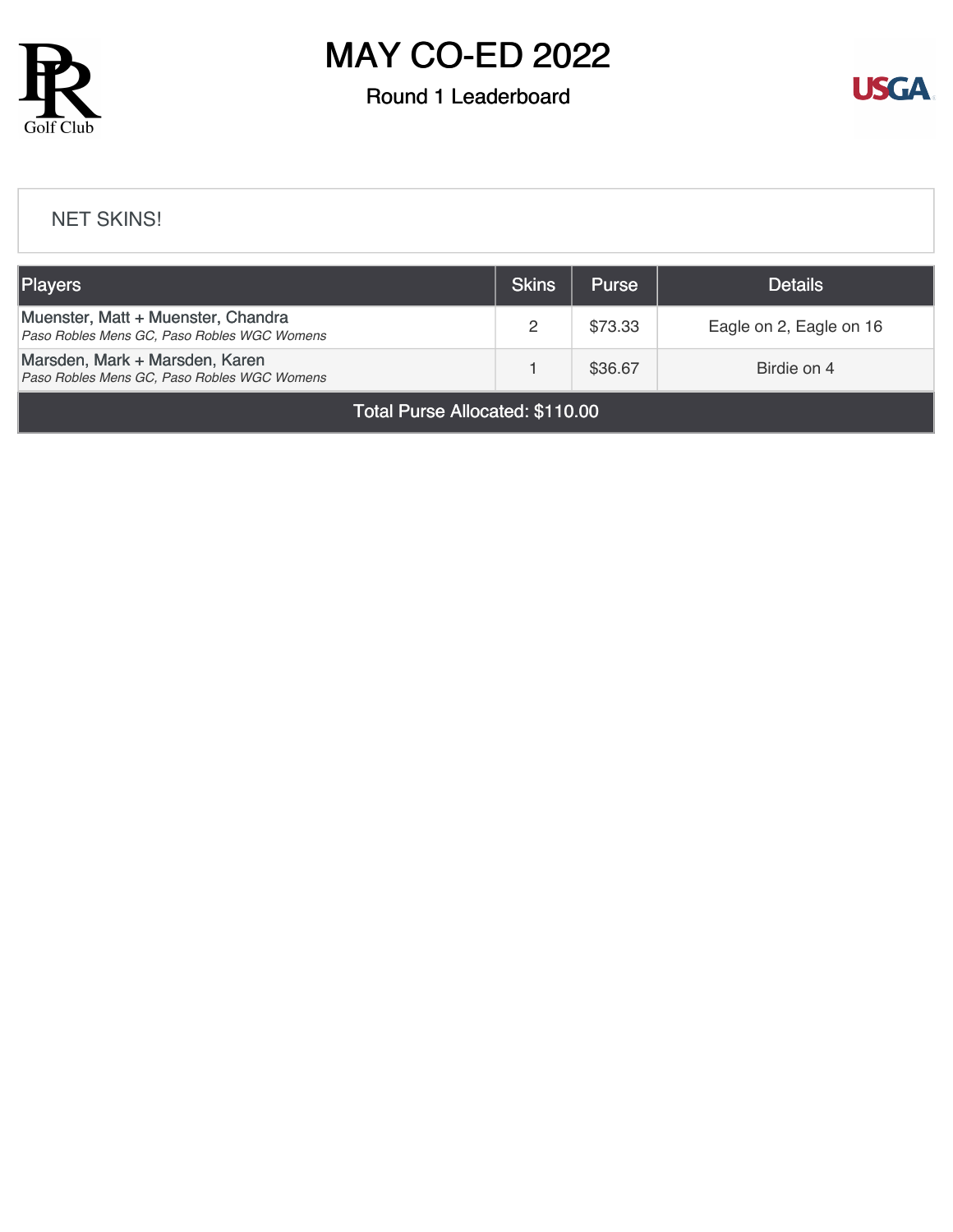

## MAY CO-ED 2022

### Round 1 Leaderboard



#### [NET SKINS!](https://static.golfgenius.com/v2tournaments/8491347346087525947?called_from=&round_index=1)

| <b>Players</b>                                                                    | Skins | <b>Purse</b> | <b>Details</b>          |
|-----------------------------------------------------------------------------------|-------|--------------|-------------------------|
| Muenster, Matt + Muenster, Chandra<br>Paso Robles Mens GC, Paso Robles WGC Womens | 2     | \$73.33      | Eagle on 2, Eagle on 16 |
| Marsden, Mark + Marsden, Karen<br>Paso Robles Mens GC, Paso Robles WGC Womens     |       | \$36.67      | Birdie on 4             |

Total Purse Allocated: \$110.00